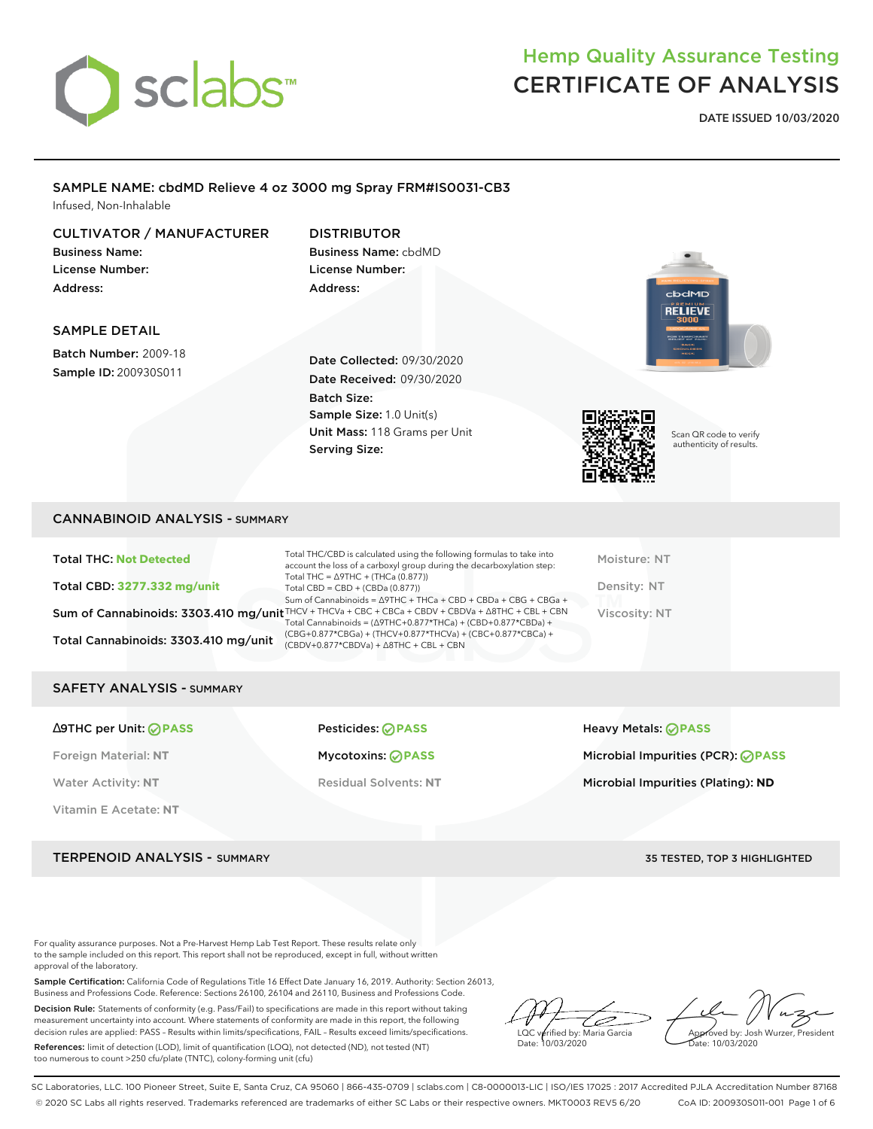

**DATE ISSUED 10/03/2020**

### SAMPLE NAME: cbdMD Relieve 4 oz 3000 mg Spray FRM#IS0031-CB3 Infused, Non-Inhalable

CULTIVATOR / MANUFACTURER

Business Name: License Number: Address:

DISTRIBUTOR Business Name: cbdMD License Number: Address:

### SAMPLE DETAIL

Batch Number: 2009-18 Sample ID: 200930S011

Date Collected: 09/30/2020 Date Received: 09/30/2020 Batch Size: Sample Size: 1.0 Unit(s) Unit Mass: 118 Grams per Unit Serving Size:



Scan QR code to verify authenticity of results.

**RELIEVE** 

### CANNABINOID ANALYSIS - SUMMARY

| <b>Total THC: Not Detected</b>       | Total THC/CBD is calculated using the following formulas to take into<br>account the loss of a carboxyl group during the decarboxylation step:                               | Moisture: NT  |
|--------------------------------------|------------------------------------------------------------------------------------------------------------------------------------------------------------------------------|---------------|
| Total CBD: 3277.332 mg/unit          | Total THC = $\triangle$ 9THC + (THCa (0.877))<br>Total CBD = $CBD + (CBDa (0.877))$<br>Sum of Cannabinoids = $\triangle$ 9THC + THCa + CBD + CBDa + CBG + CBGa +             | Density: NT   |
|                                      | Sum of Cannabinoids: 3303.410 mg/unit THCV + THCVa + CBC + CBCa + CBDV + CBDVa + A8THC + CBL + CBN<br>Total Cannabinoids = $(\Delta$ 9THC+0.877*THCa) + $(CBD+0.877*CBDa) +$ | Viscosity: NT |
| Total Cannabinoids: 3303.410 mg/unit | (CBG+0.877*CBGa) + (THCV+0.877*THCVa) + (CBC+0.877*CBCa) +<br>$(CBDV+0.877*CBDVa) + \Delta 8THC + CBL + CBN$                                                                 |               |

### SAFETY ANALYSIS - SUMMARY

| $\triangle$ 9THC per Unit: $\odot$ PASS | Pesticides: ⊘PASS            | Heavy Metals: <b>OPASS</b>         |
|-----------------------------------------|------------------------------|------------------------------------|
| Foreign Material: NT                    | Mycotoxins: ⊘PASS            | Microbial Impurities (PCR): ⊘PASS  |
| <b>Water Activity: NT</b>               | <b>Residual Solvents: NT</b> | Microbial Impurities (Plating): ND |
| Vitamin E Acetate: NT                   |                              |                                    |

TERPENOID ANALYSIS - SUMMARY 35 TESTED, TOP 3 HIGHLIGHTED

For quality assurance purposes. Not a Pre-Harvest Hemp Lab Test Report. These results relate only to the sample included on this report. This report shall not be reproduced, except in full, without written approval of the laboratory.

Sample Certification: California Code of Regulations Title 16 Effect Date January 16, 2019. Authority: Section 26013, Business and Professions Code. Reference: Sections 26100, 26104 and 26110, Business and Professions Code.

Decision Rule: Statements of conformity (e.g. Pass/Fail) to specifications are made in this report without taking measurement uncertainty into account. Where statements of conformity are made in this report, the following decision rules are applied: PASS – Results within limits/specifications, FAIL – Results exceed limits/specifications.

References: limit of detection (LOD), limit of quantification (LOQ), not detected (ND), not tested (NT) too numerous to count >250 cfu/plate (TNTC), colony-forming unit (cfu)

D LQC verified by: Maria Garcia Date: 10/03/2020

Approved by: Josh Wurzer, President Date: 10/03/2020

SC Laboratories, LLC. 100 Pioneer Street, Suite E, Santa Cruz, CA 95060 | 866-435-0709 | sclabs.com | C8-0000013-LIC | ISO/IES 17025 : 2017 Accredited PJLA Accreditation Number 87168 © 2020 SC Labs all rights reserved. Trademarks referenced are trademarks of either SC Labs or their respective owners. MKT0003 REV5 6/20 CoA ID: 200930S011-001 Page 1 of 6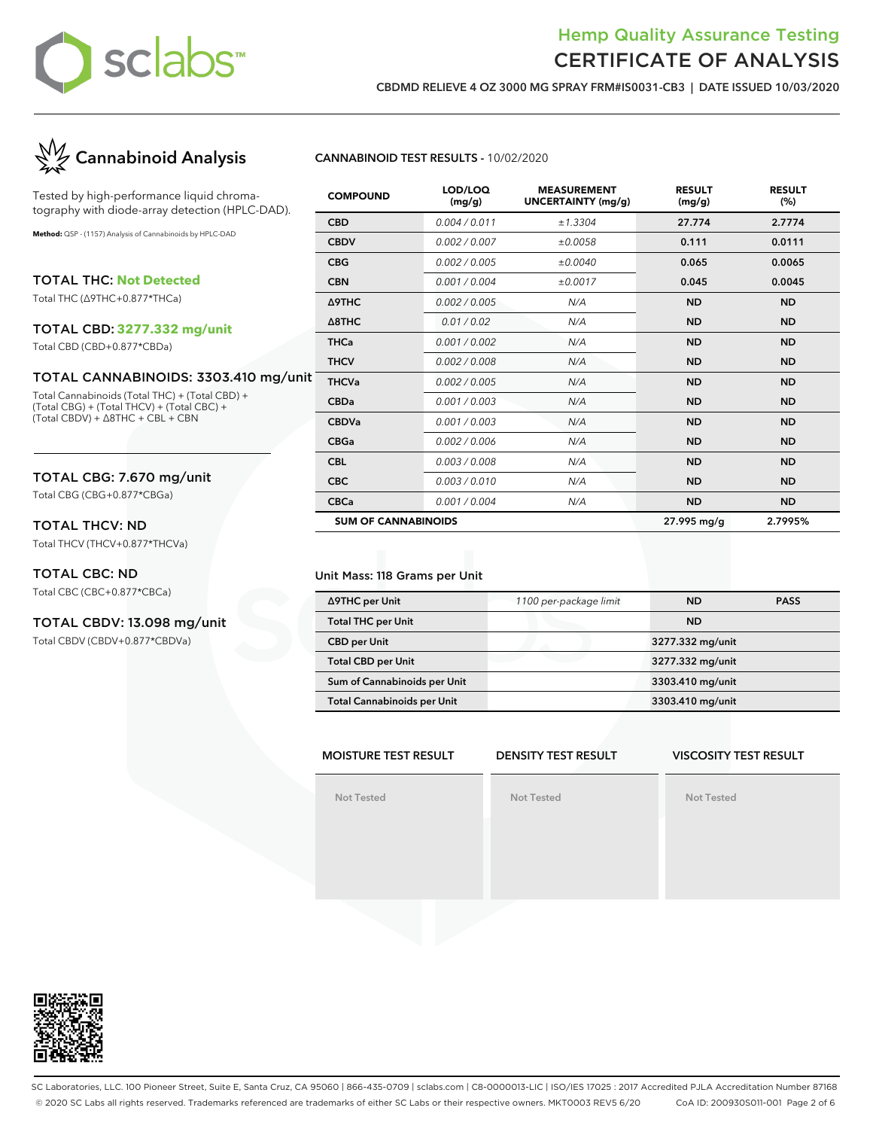

**CBDMD RELIEVE 4 OZ 3000 MG SPRAY FRM#IS0031-CB3 | DATE ISSUED 10/03/2020**



Tested by high-performance liquid chromatography with diode-array detection (HPLC-DAD).

**Method:** QSP - (1157) Analysis of Cannabinoids by HPLC-DAD

TOTAL THC: **Not Detected**

Total THC (∆9THC+0.877\*THCa)

### TOTAL CBD: **3277.332 mg/unit**

Total CBD (CBD+0.877\*CBDa)

### TOTAL CANNABINOIDS: 3303.410 mg/unit

Total Cannabinoids (Total THC) + (Total CBD) + (Total CBG) + (Total THCV) + (Total CBC) + (Total CBDV) + ∆8THC + CBL + CBN

### TOTAL CBG: 7.670 mg/unit

Total CBG (CBG+0.877\*CBGa)

### TOTAL THCV: ND

Total THCV (THCV+0.877\*THCVa)

### TOTAL CBC: ND

Total CBC (CBC+0.877\*CBCa)

#### TOTAL CBDV: 13.098 mg/unit

Total CBDV (CBDV+0.877\*CBDVa)

### **CANNABINOID TEST RESULTS -** 10/02/2020

| <b>COMPOUND</b>            | LOD/LOQ<br>(mg/g) | <b>MEASUREMENT</b><br><b>UNCERTAINTY (mg/g)</b> | <b>RESULT</b><br>(mg/g) | <b>RESULT</b><br>(%) |
|----------------------------|-------------------|-------------------------------------------------|-------------------------|----------------------|
| <b>CBD</b>                 | 0.004 / 0.011     | ±1.3304                                         | 27.774                  | 2.7774               |
| <b>CBDV</b>                | 0.002 / 0.007     | ±0.0058                                         | 0.111                   | 0.0111               |
| <b>CBG</b>                 | 0.002 / 0.005     | ±0.0040                                         | 0.065                   | 0.0065               |
| <b>CBN</b>                 | 0.001/0.004       | ±0.0017                                         | 0.045                   | 0.0045               |
| <b>A9THC</b>               | 0.002 / 0.005     | N/A                                             | <b>ND</b>               | <b>ND</b>            |
| $\triangle$ 8THC           | 0.01 / 0.02       | N/A                                             | <b>ND</b>               | <b>ND</b>            |
| <b>THCa</b>                | 0.001 / 0.002     | N/A                                             | <b>ND</b>               | <b>ND</b>            |
| <b>THCV</b>                | 0.002 / 0.008     | N/A                                             | <b>ND</b>               | <b>ND</b>            |
| <b>THCVa</b>               | 0.002 / 0.005     | N/A                                             | <b>ND</b>               | <b>ND</b>            |
| <b>CBDa</b>                | 0.001 / 0.003     | N/A                                             | <b>ND</b>               | <b>ND</b>            |
| <b>CBDVa</b>               | 0.001 / 0.003     | N/A                                             | <b>ND</b>               | <b>ND</b>            |
| <b>CBGa</b>                | 0.002 / 0.006     | N/A                                             | <b>ND</b>               | <b>ND</b>            |
| <b>CBL</b>                 | 0.003 / 0.008     | N/A                                             | <b>ND</b>               | <b>ND</b>            |
| <b>CBC</b>                 | 0.003 / 0.010     | N/A                                             | <b>ND</b>               | <b>ND</b>            |
| <b>CBCa</b>                | 0.001 / 0.004     | N/A                                             | <b>ND</b>               | <b>ND</b>            |
| <b>SUM OF CANNABINOIDS</b> |                   |                                                 | 27.995 mg/g             | 2.7995%              |

#### Unit Mass: 118 Grams per Unit

| ∆9THC per Unit                     | 1100 per-package limit | ND               | <b>PASS</b> |
|------------------------------------|------------------------|------------------|-------------|
| <b>Total THC per Unit</b>          |                        | <b>ND</b>        |             |
| <b>CBD</b> per Unit                |                        | 3277.332 mg/unit |             |
| <b>Total CBD per Unit</b>          |                        | 3277.332 mg/unit |             |
| Sum of Cannabinoids per Unit       |                        | 3303.410 mg/unit |             |
| <b>Total Cannabinoids per Unit</b> |                        | 3303.410 mg/unit |             |

#### **MOISTURE TEST RESULT Not Tested DENSITY TEST RESULT Not Tested VISCOSITY TEST RESULT Not Tested**



SC Laboratories, LLC. 100 Pioneer Street, Suite E, Santa Cruz, CA 95060 | 866-435-0709 | sclabs.com | C8-0000013-LIC | ISO/IES 17025 : 2017 Accredited PJLA Accreditation Number 87168 © 2020 SC Labs all rights reserved. Trademarks referenced are trademarks of either SC Labs or their respective owners. MKT0003 REV5 6/20 CoA ID: 200930S011-001 Page 2 of 6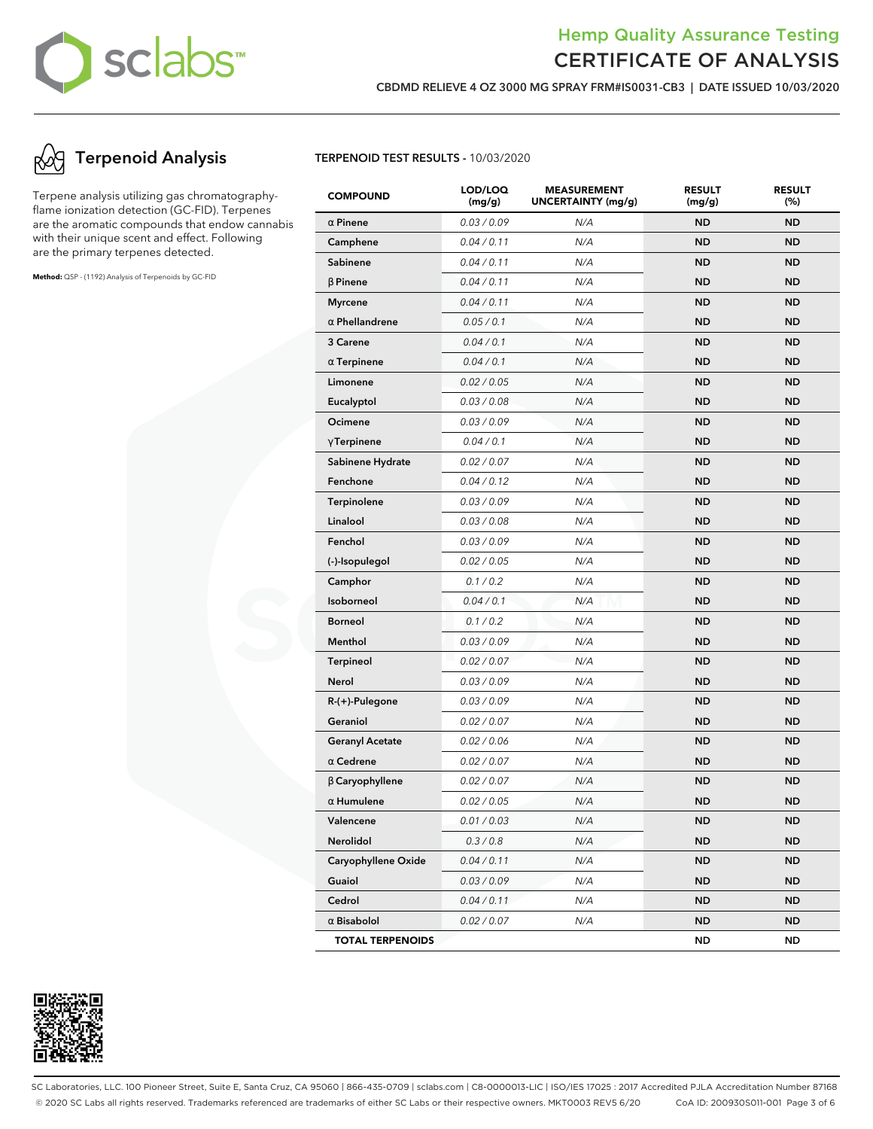

**CBDMD RELIEVE 4 OZ 3000 MG SPRAY FRM#IS0031-CB3 | DATE ISSUED 10/03/2020**

## **Terpenoid Analysis**

Terpene analysis utilizing gas chromatographyflame ionization detection (GC-FID). Terpenes are the aromatic compounds that endow cannabis with their unique scent and effect. Following are the primary terpenes detected.

**Method:** QSP - (1192) Analysis of Terpenoids by GC-FID

**TERPENOID TEST RESULTS -** 10/03/2020

| <b>COMPOUND</b>         | LOD/LOQ<br>(mg/g) | <b>MEASUREMENT</b><br>UNCERTAINTY (mg/g) | <b>RESULT</b><br>(mg/g) | <b>RESULT</b><br>(%) |
|-------------------------|-------------------|------------------------------------------|-------------------------|----------------------|
| $\alpha$ Pinene         | 0.03 / 0.09       | N/A                                      | <b>ND</b>               | <b>ND</b>            |
| Camphene                | 0.04 / 0.11       | N/A                                      | <b>ND</b>               | <b>ND</b>            |
| Sabinene                | 0.04 / 0.11       | N/A                                      | <b>ND</b>               | <b>ND</b>            |
| $\beta$ Pinene          | 0.04 / 0.11       | N/A                                      | <b>ND</b>               | <b>ND</b>            |
| <b>Myrcene</b>          | 0.04 / 0.11       | N/A                                      | <b>ND</b>               | <b>ND</b>            |
| $\alpha$ Phellandrene   | 0.05 / 0.1        | N/A                                      | <b>ND</b>               | <b>ND</b>            |
| 3 Carene                | 0.04 / 0.1        | N/A                                      | <b>ND</b>               | <b>ND</b>            |
| $\alpha$ Terpinene      | 0.04 / 0.1        | N/A                                      | <b>ND</b>               | <b>ND</b>            |
| Limonene                | 0.02 / 0.05       | N/A                                      | <b>ND</b>               | ND                   |
| Eucalyptol              | 0.03 / 0.08       | N/A                                      | <b>ND</b>               | <b>ND</b>            |
| Ocimene                 | 0.03 / 0.09       | N/A                                      | <b>ND</b>               | <b>ND</b>            |
| $\gamma$ Terpinene      | 0.04 / 0.1        | N/A                                      | <b>ND</b>               | <b>ND</b>            |
| Sabinene Hydrate        | 0.02 / 0.07       | N/A                                      | <b>ND</b>               | <b>ND</b>            |
| Fenchone                | 0.04 / 0.12       | N/A                                      | <b>ND</b>               | <b>ND</b>            |
| <b>Terpinolene</b>      | 0.03 / 0.09       | N/A                                      | <b>ND</b>               | ND                   |
| Linalool                | 0.03 / 0.08       | N/A                                      | <b>ND</b>               | <b>ND</b>            |
| Fenchol                 | 0.03 / 0.09       | N/A                                      | <b>ND</b>               | <b>ND</b>            |
| (-)-Isopulegol          | 0.02 / 0.05       | N/A                                      | <b>ND</b>               | <b>ND</b>            |
| Camphor                 | 0.1 / 0.2         | N/A                                      | <b>ND</b>               | <b>ND</b>            |
| Isoborneol              | 0.04 / 0.1        | N/A                                      | <b>ND</b>               | <b>ND</b>            |
| <b>Borneol</b>          | 0.1 / 0.2         | N/A                                      | <b>ND</b>               | ND                   |
| Menthol                 | 0.03 / 0.09       | N/A                                      | <b>ND</b>               | <b>ND</b>            |
| <b>Terpineol</b>        | 0.02 / 0.07       | N/A                                      | <b>ND</b>               | <b>ND</b>            |
| Nerol                   | 0.03 / 0.09       | N/A                                      | <b>ND</b>               | <b>ND</b>            |
| R-(+)-Pulegone          | 0.03 / 0.09       | N/A                                      | <b>ND</b>               | <b>ND</b>            |
| Geraniol                | 0.02 / 0.07       | N/A                                      | <b>ND</b>               | <b>ND</b>            |
| <b>Geranyl Acetate</b>  | 0.02 / 0.06       | N/A                                      | <b>ND</b>               | ND                   |
| $\alpha$ Cedrene        | 0.02 / 0.07       | N/A                                      | <b>ND</b>               | <b>ND</b>            |
| $\beta$ Caryophyllene   | 0.02 / 0.07       | N/A                                      | <b>ND</b>               | <b>ND</b>            |
| $\alpha$ Humulene       | 0.02 / 0.05       | N/A                                      | <b>ND</b>               | ND                   |
| Valencene               | 0.01 / 0.03       | N/A                                      | <b>ND</b>               | ND,                  |
| Nerolidol               | 0.3 / 0.8         | N/A                                      | <b>ND</b>               | ND                   |
| Caryophyllene Oxide     | 0.04 / 0.11       | N/A                                      | <b>ND</b>               | <b>ND</b>            |
| Guaiol                  | 0.03 / 0.09       | N/A                                      | <b>ND</b>               | ND                   |
| Cedrol                  | 0.04 / 0.11       | N/A                                      | <b>ND</b>               | ND                   |
| $\alpha$ Bisabolol      | 0.02 / 0.07       | N/A                                      | <b>ND</b>               | ND                   |
| <b>TOTAL TERPENOIDS</b> |                   |                                          | ND                      | <b>ND</b>            |



SC Laboratories, LLC. 100 Pioneer Street, Suite E, Santa Cruz, CA 95060 | 866-435-0709 | sclabs.com | C8-0000013-LIC | ISO/IES 17025 : 2017 Accredited PJLA Accreditation Number 87168 © 2020 SC Labs all rights reserved. Trademarks referenced are trademarks of either SC Labs or their respective owners. MKT0003 REV5 6/20 CoA ID: 200930S011-001 Page 3 of 6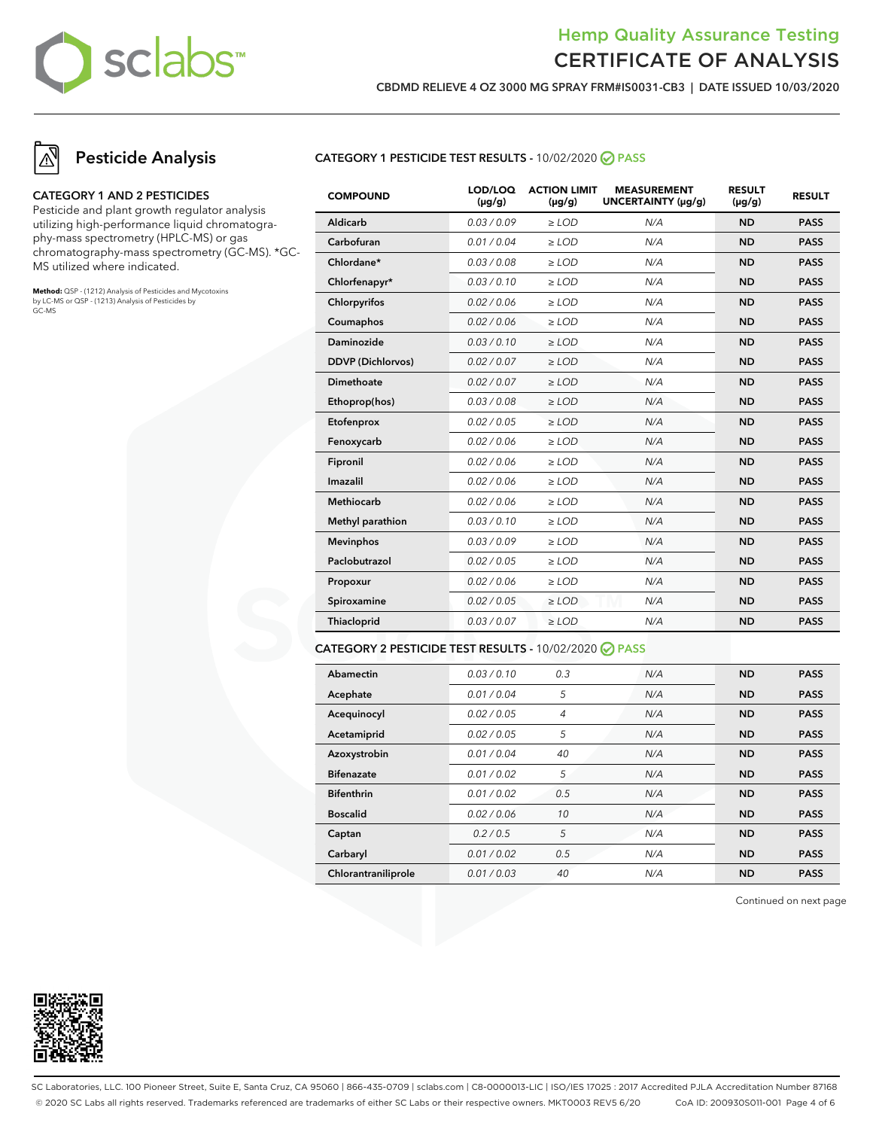

**CBDMD RELIEVE 4 OZ 3000 MG SPRAY FRM#IS0031-CB3 | DATE ISSUED 10/03/2020**

### **Pesticide Analysis**

#### **CATEGORY 1 AND 2 PESTICIDES**

Pesticide and plant growth regulator analysis utilizing high-performance liquid chromatography-mass spectrometry (HPLC-MS) or gas chromatography-mass spectrometry (GC-MS). \*GC-MS utilized where indicated.

**Method:** QSP - (1212) Analysis of Pesticides and Mycotoxins by LC-MS or QSP - (1213) Analysis of Pesticides by GC-MS

### **CATEGORY 1 PESTICIDE TEST RESULTS -** 10/02/2020 **PASS**

| <b>COMPOUND</b>          | LOD/LOQ<br>$(\mu g/g)$ | <b>ACTION LIMIT</b><br>$(\mu q/q)$ | <b>MEASUREMENT</b><br>UNCERTAINTY (µq/q) | <b>RESULT</b><br>$(\mu g/g)$ | <b>RESULT</b> |
|--------------------------|------------------------|------------------------------------|------------------------------------------|------------------------------|---------------|
| Aldicarb                 | 0.03/0.09              | $>$ LOD                            | N/A                                      | <b>ND</b>                    | <b>PASS</b>   |
| Carbofuran               | 0.01 / 0.04            | $\ge$ LOD                          | N/A                                      | <b>ND</b>                    | <b>PASS</b>   |
| Chlordane*               | 0.03 / 0.08            | $\ge$ LOD                          | N/A                                      | <b>ND</b>                    | <b>PASS</b>   |
| Chlorfenapyr*            | 0.03/0.10              | $\ge$ LOD                          | N/A                                      | <b>ND</b>                    | <b>PASS</b>   |
| Chlorpyrifos             | 0.02 / 0.06            | $\ge$ LOD                          | N/A                                      | <b>ND</b>                    | <b>PASS</b>   |
| Coumaphos                | 0.02 / 0.06            | $\ge$ LOD                          | N/A                                      | <b>ND</b>                    | <b>PASS</b>   |
| Daminozide               | 0.03/0.10              | $>$ LOD                            | N/A                                      | <b>ND</b>                    | <b>PASS</b>   |
| <b>DDVP</b> (Dichlorvos) | 0.02 / 0.07            | $\ge$ LOD                          | N/A                                      | <b>ND</b>                    | <b>PASS</b>   |
| Dimethoate               | 0.02 / 0.07            | $\ge$ LOD                          | N/A                                      | <b>ND</b>                    | <b>PASS</b>   |
| Ethoprop(hos)            | 0.03 / 0.08            | $\ge$ LOD                          | N/A                                      | <b>ND</b>                    | <b>PASS</b>   |
| Etofenprox               | 0.02 / 0.05            | $\ge$ LOD                          | N/A                                      | <b>ND</b>                    | <b>PASS</b>   |
| Fenoxycarb               | 0.02 / 0.06            | $\ge$ LOD                          | N/A                                      | <b>ND</b>                    | <b>PASS</b>   |
| Fipronil                 | 0.02 / 0.06            | $\ge$ LOD                          | N/A                                      | <b>ND</b>                    | <b>PASS</b>   |
| Imazalil                 | 0.02 / 0.06            | $>$ LOD                            | N/A                                      | <b>ND</b>                    | <b>PASS</b>   |
| <b>Methiocarb</b>        | 0.02 / 0.06            | $>$ LOD                            | N/A                                      | <b>ND</b>                    | <b>PASS</b>   |
| Methyl parathion         | 0.03/0.10              | $\ge$ LOD                          | N/A                                      | <b>ND</b>                    | <b>PASS</b>   |
| <b>Mevinphos</b>         | 0.03/0.09              | $\ge$ LOD                          | N/A                                      | <b>ND</b>                    | <b>PASS</b>   |
| Paclobutrazol            | 0.02 / 0.05            | $\ge$ LOD                          | N/A                                      | <b>ND</b>                    | <b>PASS</b>   |
| Propoxur                 | 0.02 / 0.06            | $\ge$ LOD                          | N/A                                      | <b>ND</b>                    | <b>PASS</b>   |
| Spiroxamine              | 0.02 / 0.05            | $\ge$ LOD                          | N/A                                      | <b>ND</b>                    | <b>PASS</b>   |
| Thiacloprid              | 0.03 / 0.07            | $\ge$ LOD                          | N/A                                      | <b>ND</b>                    | <b>PASS</b>   |
|                          |                        |                                    |                                          |                              |               |

### **CATEGORY 2 PESTICIDE TEST RESULTS -** 10/02/2020 **PASS**

| Abamectin           | 0.03/0.10   | 0.3            | N/A | <b>ND</b> | <b>PASS</b> |
|---------------------|-------------|----------------|-----|-----------|-------------|
| Acephate            | 0.01 / 0.04 | 5              | N/A | <b>ND</b> | <b>PASS</b> |
| Acequinocyl         | 0.02 / 0.05 | $\overline{4}$ | N/A | <b>ND</b> | <b>PASS</b> |
| Acetamiprid         | 0.02 / 0.05 | 5              | N/A | <b>ND</b> | <b>PASS</b> |
| Azoxystrobin        | 0.01/0.04   | 40             | N/A | <b>ND</b> | <b>PASS</b> |
| <b>Bifenazate</b>   | 0.01 / 0.02 | 5              | N/A | <b>ND</b> | <b>PASS</b> |
| <b>Bifenthrin</b>   | 0.01/0.02   | 0.5            | N/A | <b>ND</b> | <b>PASS</b> |
| <b>Boscalid</b>     | 0.02 / 0.06 | 10             | N/A | <b>ND</b> | <b>PASS</b> |
| Captan              | 0.2/0.5     | 5              | N/A | <b>ND</b> | <b>PASS</b> |
| Carbaryl            | 0.01 / 0.02 | 0.5            | N/A | <b>ND</b> | <b>PASS</b> |
| Chlorantraniliprole | 0.01 / 0.03 | 40             | N/A | <b>ND</b> | <b>PASS</b> |

Continued on next page



SC Laboratories, LLC. 100 Pioneer Street, Suite E, Santa Cruz, CA 95060 | 866-435-0709 | sclabs.com | C8-0000013-LIC | ISO/IES 17025 : 2017 Accredited PJLA Accreditation Number 87168 © 2020 SC Labs all rights reserved. Trademarks referenced are trademarks of either SC Labs or their respective owners. MKT0003 REV5 6/20 CoA ID: 200930S011-001 Page 4 of 6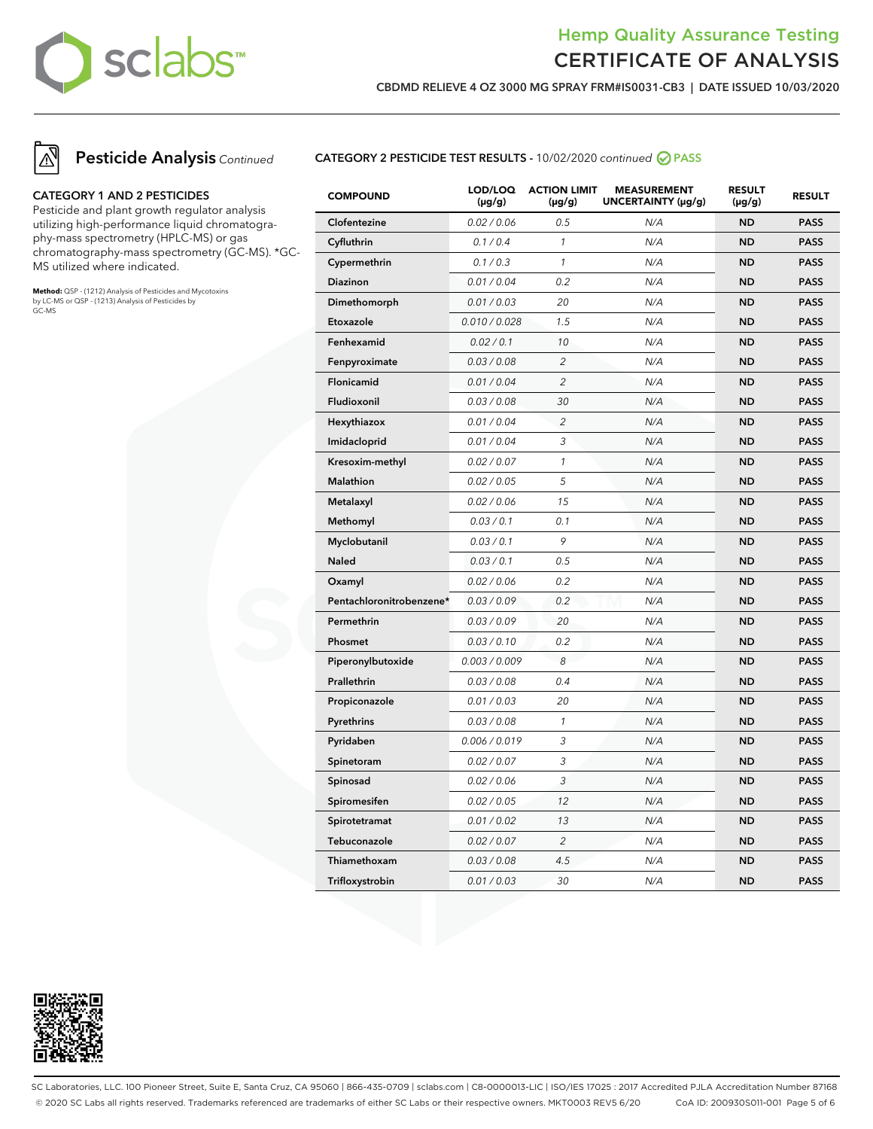

**CBDMD RELIEVE 4 OZ 3000 MG SPRAY FRM#IS0031-CB3 | DATE ISSUED 10/03/2020**



### **Pesticide Analysis** Continued

#### **CATEGORY 1 AND 2 PESTICIDES**

Pesticide and plant growth regulator analysis utilizing high-performance liquid chromatography-mass spectrometry (HPLC-MS) or gas chromatography-mass spectrometry (GC-MS). \*GC-MS utilized where indicated.

**Method:** QSP - (1212) Analysis of Pesticides and Mycotoxins by LC-MS or QSP - (1213) Analysis of Pesticides by GC-MS

### **CATEGORY 2 PESTICIDE TEST RESULTS -** 10/02/2020 continued **PASS**

| <b>COMPOUND</b>          | LOD/LOQ<br>$(\mu g/g)$ | <b>ACTION LIMIT</b><br>$(\mu g/g)$ | <b>MEASUREMENT</b><br>UNCERTAINTY (µg/g) | <b>RESULT</b><br>$(\mu g/g)$ | <b>RESULT</b> |
|--------------------------|------------------------|------------------------------------|------------------------------------------|------------------------------|---------------|
| Clofentezine             | 0.02 / 0.06            | 0.5                                | N/A                                      | <b>ND</b>                    | <b>PASS</b>   |
| Cyfluthrin               | 0.1 / 0.4              | $\mathcal{I}$                      | N/A                                      | <b>ND</b>                    | <b>PASS</b>   |
| Cypermethrin             | 0.1 / 0.3              | $\mathcal{I}$                      | N/A                                      | <b>ND</b>                    | <b>PASS</b>   |
| Diazinon                 | 0.01 / 0.04            | 0.2                                | N/A                                      | <b>ND</b>                    | <b>PASS</b>   |
| Dimethomorph             | 0.01 / 0.03            | 20                                 | N/A                                      | <b>ND</b>                    | <b>PASS</b>   |
| Etoxazole                | 0.010 / 0.028          | 1.5                                | N/A                                      | <b>ND</b>                    | <b>PASS</b>   |
| Fenhexamid               | 0.02 / 0.1             | 10                                 | N/A                                      | ND                           | <b>PASS</b>   |
| Fenpyroximate            | 0.03 / 0.08            | $\overline{c}$                     | N/A                                      | <b>ND</b>                    | <b>PASS</b>   |
| Flonicamid               | 0.01 / 0.04            | $\overline{c}$                     | N/A                                      | <b>ND</b>                    | <b>PASS</b>   |
| Fludioxonil              | 0.03 / 0.08            | 30                                 | N/A                                      | ND                           | <b>PASS</b>   |
| Hexythiazox              | 0.01 / 0.04            | $\overline{2}$                     | N/A                                      | ND                           | <b>PASS</b>   |
| Imidacloprid             | 0.01 / 0.04            | 3                                  | N/A                                      | ND                           | <b>PASS</b>   |
| Kresoxim-methyl          | 0.02 / 0.07            | $\mathcal{I}$                      | N/A                                      | ND                           | <b>PASS</b>   |
| <b>Malathion</b>         | 0.02 / 0.05            | 5                                  | N/A                                      | <b>ND</b>                    | <b>PASS</b>   |
| Metalaxyl                | 0.02 / 0.06            | 15                                 | N/A                                      | <b>ND</b>                    | <b>PASS</b>   |
| Methomyl                 | 0.03 / 0.1             | 0.1                                | N/A                                      | <b>ND</b>                    | <b>PASS</b>   |
| Myclobutanil             | 0.03 / 0.1             | 9                                  | N/A                                      | <b>ND</b>                    | <b>PASS</b>   |
| <b>Naled</b>             | 0.03 / 0.1             | 0.5                                | N/A                                      | ND                           | <b>PASS</b>   |
| Oxamyl                   | 0.02 / 0.06            | 0.2                                | N/A                                      | <b>ND</b>                    | <b>PASS</b>   |
| Pentachloronitrobenzene* | 0.03 / 0.09            | 0.2                                | N/A                                      | <b>ND</b>                    | <b>PASS</b>   |
| Permethrin               | 0.03 / 0.09            | 20                                 | N/A                                      | ND                           | <b>PASS</b>   |
| Phosmet                  | 0.03 / 0.10            | 0.2                                | N/A                                      | <b>ND</b>                    | <b>PASS</b>   |
| Piperonylbutoxide        | 0.003 / 0.009          | 8                                  | N/A                                      | <b>ND</b>                    | <b>PASS</b>   |
| Prallethrin              | 0.03 / 0.08            | 0.4                                | N/A                                      | <b>ND</b>                    | <b>PASS</b>   |
| Propiconazole            | 0.01 / 0.03            | 20                                 | N/A                                      | <b>ND</b>                    | <b>PASS</b>   |
| Pyrethrins               | 0.03 / 0.08            | $\mathcal{I}$                      | N/A                                      | ND                           | <b>PASS</b>   |
| Pyridaben                | 0.006 / 0.019          | 3                                  | N/A                                      | ND                           | <b>PASS</b>   |
| Spinetoram               | 0.02 / 0.07            | 3                                  | N/A                                      | ND                           | <b>PASS</b>   |
| Spinosad                 | 0.02 / 0.06            | 3                                  | N/A                                      | ND                           | <b>PASS</b>   |
| Spiromesifen             | 0.02 / 0.05            | 12                                 | N/A                                      | <b>ND</b>                    | <b>PASS</b>   |
| Spirotetramat            | 0.01 / 0.02            | 13                                 | N/A                                      | <b>ND</b>                    | <b>PASS</b>   |
| Tebuconazole             | 0.02 / 0.07            | $\overline{c}$                     | N/A                                      | <b>ND</b>                    | <b>PASS</b>   |
| Thiamethoxam             | 0.03 / 0.08            | 4.5                                | N/A                                      | <b>ND</b>                    | <b>PASS</b>   |
| Trifloxystrobin          | 0.01 / 0.03            | 30                                 | N/A                                      | ND                           | <b>PASS</b>   |



SC Laboratories, LLC. 100 Pioneer Street, Suite E, Santa Cruz, CA 95060 | 866-435-0709 | sclabs.com | C8-0000013-LIC | ISO/IES 17025 : 2017 Accredited PJLA Accreditation Number 87168 © 2020 SC Labs all rights reserved. Trademarks referenced are trademarks of either SC Labs or their respective owners. MKT0003 REV5 6/20 CoA ID: 200930S011-001 Page 5 of 6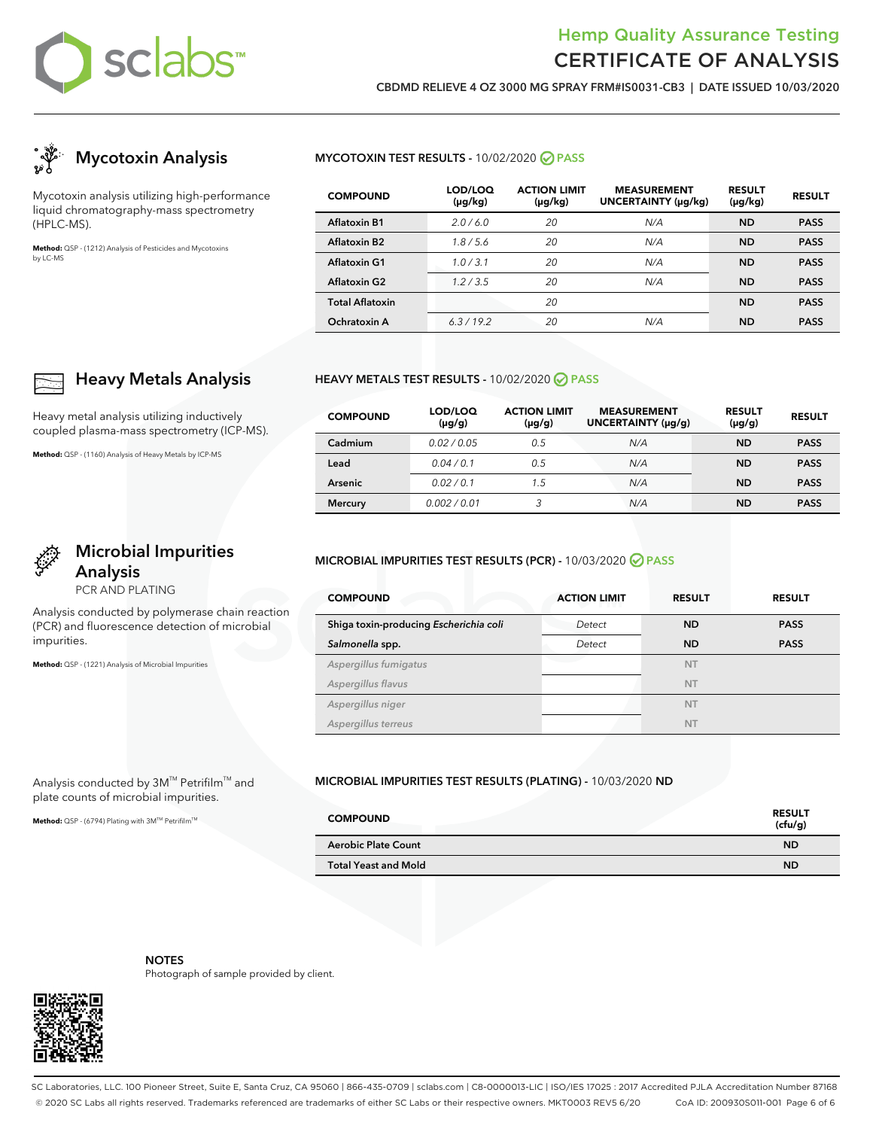

**CBDMD RELIEVE 4 OZ 3000 MG SPRAY FRM#IS0031-CB3 | DATE ISSUED 10/03/2020**



Mycotoxin analysis utilizing high-performance liquid chromatography-mass spectrometry (HPLC-MS).

**Heavy Metals Analysis**

**Microbial Impurities**

Analysis conducted by polymerase chain reaction (PCR) and fluorescence detection of microbial

Heavy metal analysis utilizing inductively coupled plasma-mass spectrometry (ICP-MS).

**Method:** QSP - (1160) Analysis of Heavy Metals by ICP-MS

**Analysis** PCR AND PLATING

**Method:** QSP - (1221) Analysis of Microbial Impurities

Analysis conducted by 3M™ Petrifilm™ and plate counts of microbial impurities. Method: QSP - (6794) Plating with 3M™ Petrifilm<sup>™</sup>

impurities.

**Method:** QSP - (1212) Analysis of Pesticides and Mycotoxins by LC-MS

### **MYCOTOXIN TEST RESULTS -** 10/02/2020 **PASS**

| <b>COMPOUND</b>          | LOD/LOQ<br>(µg/kg) | <b>ACTION LIMIT</b><br>$(\mu g/kg)$ | <b>MEASUREMENT</b><br>UNCERTAINTY (µg/kg) | <b>RESULT</b><br>$(\mu g/kg)$ | <b>RESULT</b> |
|--------------------------|--------------------|-------------------------------------|-------------------------------------------|-------------------------------|---------------|
| <b>Aflatoxin B1</b>      | 2.0/6.0            | 20                                  | N/A                                       | <b>ND</b>                     | <b>PASS</b>   |
| Aflatoxin B <sub>2</sub> | 1.8/5.6            | 20                                  | N/A                                       | <b>ND</b>                     | <b>PASS</b>   |
| <b>Aflatoxin G1</b>      | 1.0/3.1            | 20                                  | N/A                                       | <b>ND</b>                     | <b>PASS</b>   |
| <b>Aflatoxin G2</b>      | 1.2/3.5            | 20                                  | N/A                                       | <b>ND</b>                     | <b>PASS</b>   |
| <b>Total Aflatoxin</b>   |                    | 20                                  |                                           | <b>ND</b>                     | <b>PASS</b>   |
| Ochratoxin A             | 6.3/19.2           | 20                                  | N/A                                       | <b>ND</b>                     | <b>PASS</b>   |

### **HEAVY METALS TEST RESULTS -** 10/02/2020 **PASS**

| <b>COMPOUND</b> | LOD/LOQ<br>$(\mu g/g)$ | <b>ACTION LIMIT</b><br>$(\mu g/g)$ | <b>MEASUREMENT</b><br>UNCERTAINTY (µg/g) | <b>RESULT</b><br>$(\mu g/g)$ | <b>RESULT</b> |
|-----------------|------------------------|------------------------------------|------------------------------------------|------------------------------|---------------|
| Cadmium         | 0.02/0.05              | 0.5                                | N/A                                      | <b>ND</b>                    | <b>PASS</b>   |
| Lead            | 0.04/0.1               | 0.5                                | N/A                                      | <b>ND</b>                    | <b>PASS</b>   |
| Arsenic         | 0.02/0.1               | 1.5                                | N/A                                      | ND                           | <b>PASS</b>   |
| <b>Mercury</b>  | 0.002/0.01             | 3                                  | N/A                                      | <b>ND</b>                    | <b>PASS</b>   |

### **MICROBIAL IMPURITIES TEST RESULTS (PCR) -** 10/03/2020 **PASS**

| <b>COMPOUND</b>                        | <b>ACTION LIMIT</b> | <b>RESULT</b> | <b>RESULT</b> |
|----------------------------------------|---------------------|---------------|---------------|
| Shiga toxin-producing Escherichia coli | Detect              | <b>ND</b>     | <b>PASS</b>   |
| Salmonella spp.                        | Detect              | <b>ND</b>     | <b>PASS</b>   |
| Aspergillus fumigatus                  |                     | <b>NT</b>     |               |
| Aspergillus flavus                     |                     | <b>NT</b>     |               |
| Aspergillus niger                      |                     | <b>NT</b>     |               |
| Aspergillus terreus                    |                     | <b>NT</b>     |               |

### **MICROBIAL IMPURITIES TEST RESULTS (PLATING) -** 10/03/2020 **ND**

| <b>COMPOUND</b>             | <b>RESULT</b><br>(cfu/g) |
|-----------------------------|--------------------------|
| <b>Aerobic Plate Count</b>  | <b>ND</b>                |
| <b>Total Yeast and Mold</b> | <b>ND</b>                |



**NOTES** Photograph of sample provided by client.